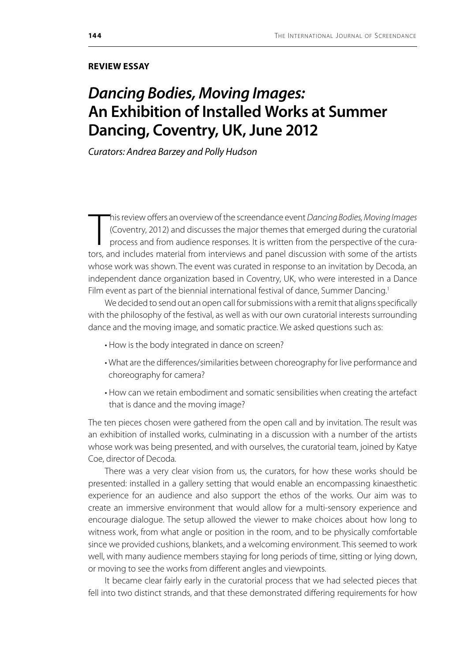## **REVIEW ESSAY**

## *Dancing Bodies, Moving Images:* **An Exhibition of Installed Works at Summer Dancing, Coventry, UK, June 2012**

*Curators: Andrea Barzey and Polly Hudson*

This review offers an overview of the screendance event *Dancing Bodies*, *Moving Images* (Coventry, 2012) and discusses the major themes that emerged during the curatorial process and from audience responses. It is writte his review offers an overview of the screendance event *Dancing Bodies, Moving Images*  (Coventry, 2012) and discusses the major themes that emerged during the curatorial process and from audience responses. It is written from the perspective of the curawhose work was shown. The event was curated in response to an invitation by Decoda, an independent dance organization based in Coventry, UK, who were interested in a Dance Film event as part of the biennial international festival of dance, Summer Dancing.<sup>1</sup>

We decided to send out an open call for submissions with a remit that aligns specifically with the philosophy of the festival, as well as with our own curatorial interests surrounding dance and the moving image, and somatic practice. We asked questions such as:

- How is the body integrated in dance on screen?
- What are the differences/similarities between choreography for live performance and choreography for camera?
- How can we retain embodiment and somatic sensibilities when creating the artefact that is dance and the moving image?

The ten pieces chosen were gathered from the open call and by invitation. The result was an exhibition of installed works, culminating in a discussion with a number of the artists whose work was being presented, and with ourselves, the curatorial team, joined by Katye Coe, director of Decoda.

There was a very clear vision from us, the curators, for how these works should be presented: installed in a gallery setting that would enable an encompassing kinaesthetic experience for an audience and also support the ethos of the works. Our aim was to create an immersive environment that would allow for a multi-sensory experience and encourage dialogue. The setup allowed the viewer to make choices about how long to witness work, from what angle or position in the room, and to be physically comfortable since we provided cushions, blankets, and a welcoming environment. This seemed to work well, with many audience members staying for long periods of time, sitting or lying down, or moving to see the works from different angles and viewpoints.

It became clear fairly early in the curatorial process that we had selected pieces that fell into two distinct strands, and that these demonstrated differing requirements for how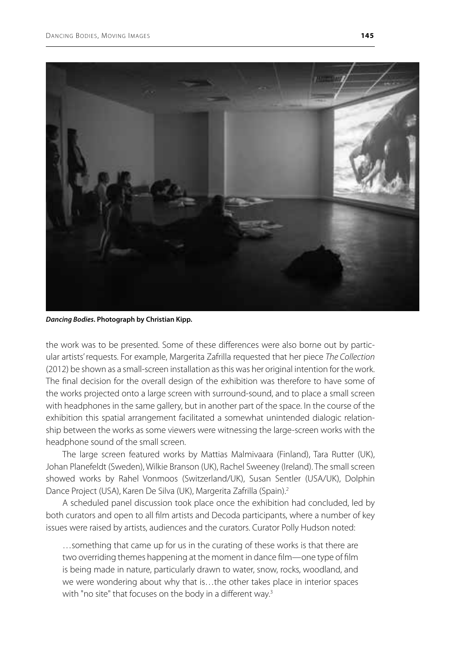

*Dancing Bodies***. Photograph by Christian Kipp.**

the work was to be presented. Some of these differences were also borne out by particular artists' requests. For example, Margerita Zafrilla requested that her piece *The Collection*  (2012) be shown as a small-screen installation as this was her original intention for the work. The final decision for the overall design of the exhibition was therefore to have some of the works projected onto a large screen with surround-sound, and to place a small screen with headphones in the same gallery, but in another part of the space. In the course of the exhibition this spatial arrangement facilitated a somewhat unintended dialogic relationship between the works as some viewers were witnessing the large-screen works with the headphone sound of the small screen.

The large screen featured works by Mattias Malmivaara (Finland), Tara Rutter (UK), Johan Planefeldt (Sweden), Wilkie Branson (UK), Rachel Sweeney (Ireland). The small screen showed works by Rahel Vonmoos (Switzerland/UK), Susan Sentler (USA/UK), Dolphin Dance Project (USA), Karen De Silva (UK), Margerita Zafrilla (Spain).<sup>2</sup>

A scheduled panel discussion took place once the exhibition had concluded, led by both curators and open to all film artists and Decoda participants, where a number of key issues were raised by artists, audiences and the curators. Curator Polly Hudson noted:

…something that came up for us in the curating of these works is that there are two overriding themes happening at the moment in dance film—one type of film is being made in nature, particularly drawn to water, snow, rocks, woodland, and we were wondering about why that is…the other takes place in interior spaces with "no site" that focuses on the body in a different way.<sup>3</sup>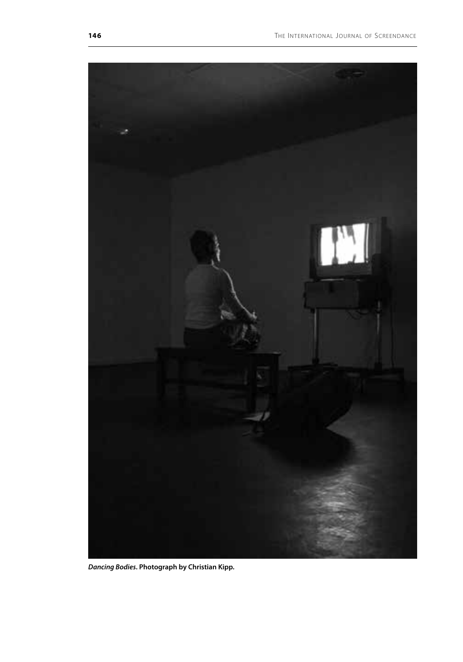

*Dancing Bodies***. Photograph by Christian Kipp.**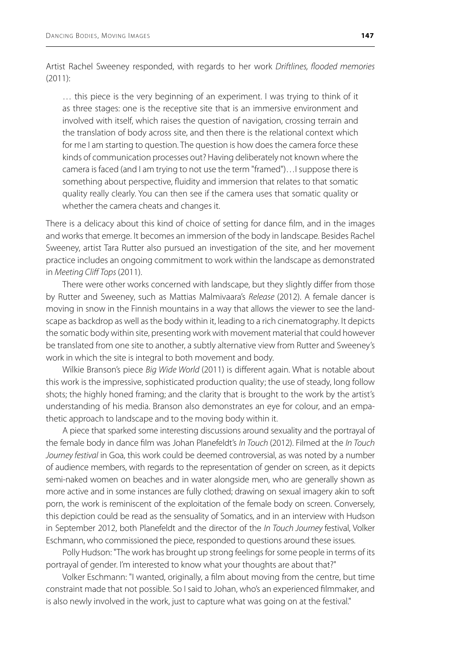Artist Rachel Sweeney responded, with regards to her work *Driftlines, flooded memories*  (2011):

… this piece is the very beginning of an experiment. I was trying to think of it as three stages: one is the receptive site that is an immersive environment and involved with itself, which raises the question of navigation, crossing terrain and the translation of body across site, and then there is the relational context which for me I am starting to question. The question is how does the camera force these kinds of communication processes out? Having deliberately not known where the camera is faced (and I am trying to not use the term "framed")…I suppose there is something about perspective, fluidity and immersion that relates to that somatic quality really clearly. You can then see if the camera uses that somatic quality or whether the camera cheats and changes it.

There is a delicacy about this kind of choice of setting for dance film, and in the images and works that emerge. It becomes an immersion of the body in landscape. Besides Rachel Sweeney, artist Tara Rutter also pursued an investigation of the site, and her movement practice includes an ongoing commitment to work within the landscape as demonstrated in *Meeting Cliff Tops* (2011).

There were other works concerned with landscape, but they slightly differ from those by Rutter and Sweeney, such as Mattias Malmivaara's *Release* (2012). A female dancer is moving in snow in the Finnish mountains in a way that allows the viewer to see the landscape as backdrop as well as the body within it, leading to a rich cinematography. It depicts the somatic body within site, presenting work with movement material that could however be translated from one site to another, a subtly alternative view from Rutter and Sweeney's work in which the site is integral to both movement and body.

Wilkie Branson's piece *Big Wide World* (2011) is different again. What is notable about this work is the impressive, sophisticated production quality; the use of steady, long follow shots; the highly honed framing; and the clarity that is brought to the work by the artist's understanding of his media. Branson also demonstrates an eye for colour, and an empathetic approach to landscape and to the moving body within it.

A piece that sparked some interesting discussions around sexuality and the portrayal of the female body in dance film was Johan Planefeldt's *In Touch* (2012). Filmed at the *In Touch Journey festival* in Goa, this work could be deemed controversial, as was noted by a number of audience members, with regards to the representation of gender on screen, as it depicts semi-naked women on beaches and in water alongside men, who are generally shown as more active and in some instances are fully clothed; drawing on sexual imagery akin to soft porn, the work is reminiscent of the exploitation of the female body on screen. Conversely, this depiction could be read as the sensuality of Somatics, and in an interview with Hudson in September 2012, both Planefeldt and the director of the *In Touch Journey* festival, Volker Eschmann, who commissioned the piece, responded to questions around these issues.

Polly Hudson: "The work has brought up strong feelings for some people in terms of its portrayal of gender. I'm interested to know what your thoughts are about that?"

Volker Eschmann: "I wanted, originally, a film about moving from the centre, but time constraint made that not possible. So I said to Johan, who's an experienced filmmaker, and is also newly involved in the work, just to capture what was going on at the festival."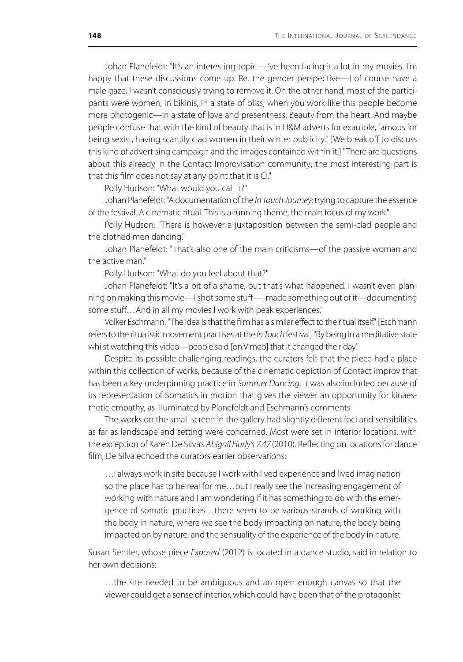Johan Planefeldt: "It's an interesting topic—I've been facing it a lot in my movies. I'm happy that these discussions come up. Re. the gender perspective—I of course have a male gaze, I wasn't consciously trying to remove it. On the other hand, most of the participants were women, in bikinis, in a state of bliss; when you work like this people become more photogenic—in a state of love and presentness. Beauty from the heart. And maybe people confuse that with the kind of beauty that is in H&M adverts for example, famous for being sexist, having scantily clad women in their winter publicity." [We break off to discuss this kind of advertising campaign and the images contained within it.] "There are questions about this already in the Contact Improvisation community; the most interesting part is that this film does not say at any point that it is CI."

Polly Hudson: "What would you call it?"

Johan Planefeldt: "A documentation of the *In Touch Journey*: trying to capture the essence of the festival. A cinematic ritual. This is a running theme, the main focus of my work."

Polly Hudson: "There is however a juxtaposition between the semi-clad people and the clothed men dancing."

Johan Planefeldt: "That's also one of the main criticisms—of the passive woman and the active man."

Polly Hudson: "What do you feel about that?"

Johan Planefeldt: "It's a bit of a shame, but that's what happened. I wasn't even planning on making this movie—I shot some stuff—I made something out of it—documenting some stuff…And in all my movies I work with peak experiences."

Volker Eschmann: "The idea is that the film has a similar effect to the ritual itself." [Eschmann refers to the ritualistic movement practises at the *In Touch* festival] "By being in a meditative state whilst watching this video—people said [on Vimeo] that it changed their day."

Despite its possible challenging readings, the curators felt that the piece had a place within this collection of works, because of the cinematic depiction of Contact Improv that has been a key underpinning practice in *Summer Dancing*. It was also included because of its representation of Somatics in motion that gives the viewer an opportunity for kinaesthetic empathy, as illuminated by Planefeldt and Eschmann's comments.

The works on the small screen in the gallery had slightly different foci and sensibilities as far as landscape and setting were concerned. Most were set in interior locations, with the exception of Karen De Silva's *Abigail Hurly's 7.47* (2010). Reflecting on locations for dance film, De Silva echoed the curators' earlier observations:

…I always work in site because I work with lived experience and lived imagination so the place has to be real for me…but I really see the increasing engagement of working with nature and I am wondering if it has something to do with the emergence of somatic practices…there seem to be various strands of working with the body in nature, where we see the body impacting on nature, the body being impacted on by nature, and the sensuality of the experience of the body in nature.

Susan Sentler, whose piece *Exposed* (2012) is located in a dance studio, said in relation to her own decisions:

…the site needed to be ambiguous and an open enough canvas so that the viewer could get a sense of interior, which could have been that of the protagonist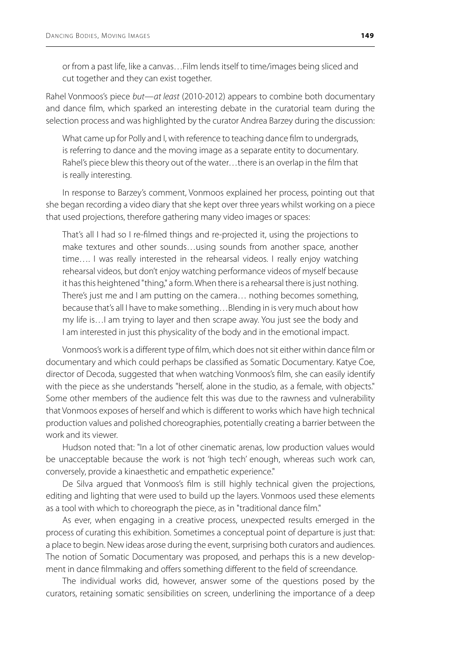or from a past life, like a canvas…Film lends itself to time/images being sliced and cut together and they can exist together.

Rahel Vonmoos's piece *but—at least* (2010-2012) appears to combine both documentary and dance film, which sparked an interesting debate in the curatorial team during the selection process and was highlighted by the curator Andrea Barzey during the discussion:

What came up for Polly and I, with reference to teaching dance film to undergrads, is referring to dance and the moving image as a separate entity to documentary. Rahel's piece blew this theory out of the water…there is an overlap in the film that is really interesting.

In response to Barzey's comment, Vonmoos explained her process, pointing out that she began recording a video diary that she kept over three years whilst working on a piece that used projections, therefore gathering many video images or spaces:

That's all I had so I re-filmed things and re-projected it, using the projections to make textures and other sounds…using sounds from another space, another time…. I was really interested in the rehearsal videos. I really enjoy watching rehearsal videos, but don't enjoy watching performance videos of myself because it has this heightened "thing," a form. When there is a rehearsal there is just nothing. There's just me and I am putting on the camera… nothing becomes something, because that's all I have to make something…Blending in is very much about how my life is…I am trying to layer and then scrape away. You just see the body and I am interested in just this physicality of the body and in the emotional impact.

Vonmoos's work is a different type of film, which does not sit either within dance film or documentary and which could perhaps be classified as Somatic Documentary. Katye Coe, director of Decoda, suggested that when watching Vonmoos's film, she can easily identify with the piece as she understands "herself, alone in the studio, as a female, with objects." Some other members of the audience felt this was due to the rawness and vulnerability that Vonmoos exposes of herself and which is different to works which have high technical production values and polished choreographies, potentially creating a barrier between the work and its viewer.

Hudson noted that: "In a lot of other cinematic arenas, low production values would be unacceptable because the work is not 'high tech' enough, whereas such work can, conversely, provide a kinaesthetic and empathetic experience."

De Silva argued that Vonmoos's film is still highly technical given the projections, editing and lighting that were used to build up the layers. Vonmoos used these elements as a tool with which to choreograph the piece, as in "traditional dance film."

As ever, when engaging in a creative process, unexpected results emerged in the process of curating this exhibition. Sometimes a conceptual point of departure is just that: a place to begin. New ideas arose during the event, surprising both curators and audiences. The notion of Somatic Documentary was proposed, and perhaps this is a new development in dance filmmaking and offers something different to the field of screendance.

The individual works did, however, answer some of the questions posed by the curators, retaining somatic sensibilities on screen, underlining the importance of a deep